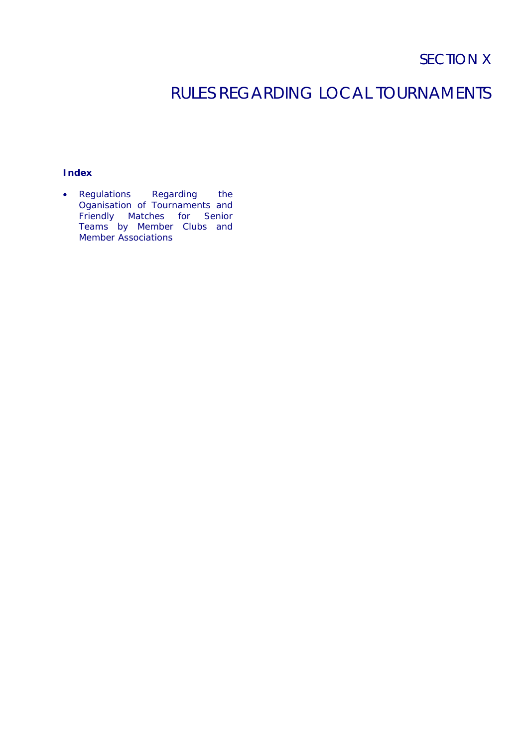## RULES REGARDING LOCAL TOURNAMENTS

## **Index**

• Regulations Regarding the Oganisation of Tournaments and Friendly Matches for Senior Teams by Member Clubs and Member Associations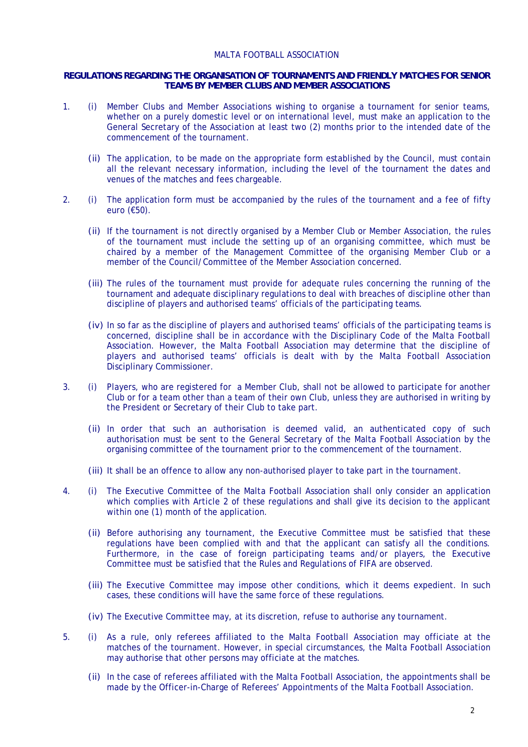## MALTA FOOTBALL ASSOCIATION

## **REGULATIONS REGARDING THE ORGANISATION OF TOURNAMENTS AND FRIENDLY MATCHES FOR SENIOR TEAMS BY MEMBER CLUBS AND MEMBER ASSOCIATIONS**

- 1. (i) Member Clubs and Member Associations wishing to organise a tournament for senior teams, whether on a purely domestic level or on international level, must make an application to the General Secretary of the Association at least two (2) months prior to the intended date of the commencement of the tournament.
	- (ii) The application, to be made on the appropriate form established by the Council, must contain all the relevant necessary information, including the level of the tournament the dates and venues of the matches and fees chargeable.
- 2. (i) The application form must be accompanied by the rules of the tournament and a fee of fifty euro (€50).
	- (ii) If the tournament is not directly organised by a Member Club or Member Association, the rules of the tournament must include the setting up of an organising committee, which must be chaired by a member of the Management Committee of the organising Member Club or a member of the Council/Committee of the Member Association concerned.
	- (iii) The rules of the tournament must provide for adequate rules concerning the running of the tournament and adequate disciplinary regulations to deal with breaches of discipline other than discipline of players and authorised teams' officials of the participating teams.
	- (iv) In so far as the discipline of players and authorised teams' officials of the participating teams is concerned, discipline shall be in accordance with the Disciplinary Code of the Malta Football Association. However, the Malta Football Association may determine that the discipline of players and authorised teams' officials is dealt with by the Malta Football Association Disciplinary Commissioner.
- 3. (i) Players, who are registered for a Member Club, shall not be allowed to participate for another Club or for a team other than a team of their own Club, unless they are authorised in writing by the President or Secretary of their Club to take part.
	- (ii) In order that such an authorisation is deemed valid, an authenticated copy of such authorisation must be sent to the General Secretary of the Malta Football Association by the organising committee of the tournament prior to the commencement of the tournament.
	- (iii) It shall be an offence to allow any non-authorised player to take part in the tournament.
- 4. (i) The Executive Committee of the Malta Football Association shall only consider an application which complies with Article 2 of these regulations and shall give its decision to the applicant within one (1) month of the application.
	- (ii) Before authorising any tournament, the Executive Committee must be satisfied that these regulations have been complied with and that the applicant can satisfy all the conditions. Furthermore, in the case of foreign participating teams and/or players, the Executive Committee must be satisfied that the Rules and Regulations of FIFA are observed.
	- (iii) The Executive Committee may impose other conditions, which it deems expedient. In such cases, these conditions will have the same force of these regulations.
	- (iv) The Executive Committee may, at its discretion, refuse to authorise any tournament.
- 5. (i) As a rule, only referees affiliated to the Malta Football Association may officiate at the matches of the tournament. However, in special circumstances, the Malta Football Association may authorise that other persons may officiate at the matches.
	- (ii) In the case of referees affiliated with the Malta Football Association, the appointments shall be made by the Officer-in-Charge of Referees' Appointments of the Malta Football Association.